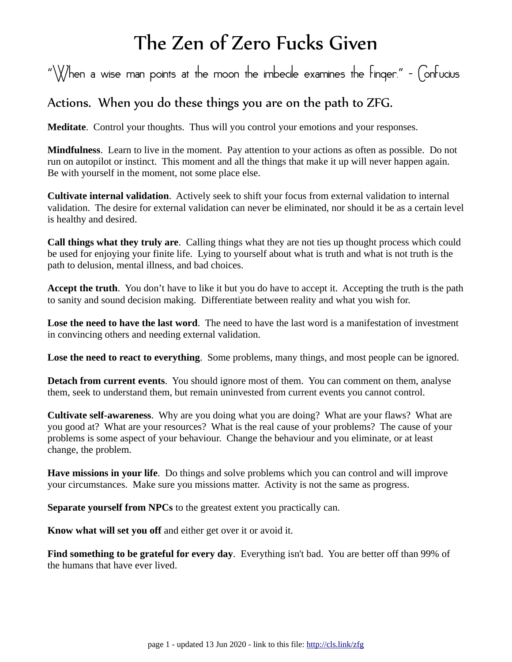## The Zen of Zero Fucks Given

"\\//hen a wise man points at the moon the imbecile examines the Finger." -  $\bigcirc$  onFucius

## Actions. When you do these things you are on the path to ZFG.

**Meditate**. Control your thoughts. Thus will you control your emotions and your responses.

**Mindfulness**. Learn to live in the moment. Pay attention to your actions as often as possible. Do not run on autopilot or instinct. This moment and all the things that make it up will never happen again. Be with yourself in the moment, not some place else.

**Cultivate internal validation**. Actively seek to shift your focus from external validation to internal validation. The desire for external validation can never be eliminated, nor should it be as a certain level is healthy and desired.

**Call things what they truly are**. Calling things what they are not ties up thought process which could be used for enjoying your finite life. Lying to yourself about what is truth and what is not truth is the path to delusion, mental illness, and bad choices.

**Accept the truth**. You don't have to like it but you do have to accept it. Accepting the truth is the path to sanity and sound decision making. Differentiate between reality and what you wish for.

**Lose the need to have the last word**. The need to have the last word is a manifestation of investment in convincing others and needing external validation.

**Lose the need to react to everything**. Some problems, many things, and most people can be ignored.

**Detach from current events**. You should ignore most of them. You can comment on them, analyse them, seek to understand them, but remain uninvested from current events you cannot control.

**Cultivate self-awareness**. Why are you doing what you are doing? What are your flaws? What are you good at? What are your resources? What is the real cause of your problems? The cause of your problems is some aspect of your behaviour. Change the behaviour and you eliminate, or at least change, the problem.

**Have missions in your life**. Do things and solve problems which you can control and will improve your circumstances. Make sure you missions matter. Activity is not the same as progress.

**Separate yourself from NPCs** to the greatest extent you practically can.

**Know what will set you off** and either get over it or avoid it.

**Find something to be grateful for every day**. Everything isn't bad. You are better off than 99% of the humans that have ever lived.